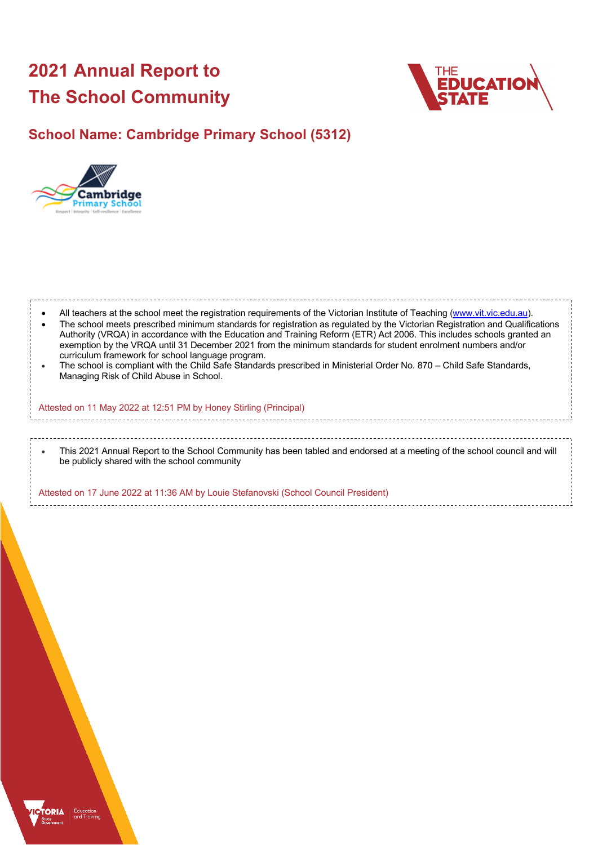# **2021 Annual Report to The School Community**



## **School Name: Cambridge Primary School (5312)**



| $\bullet$ | All teachers at the school meet the registration requirements of the Victorian Institute of Teaching (www.vit.vic.edu.au).<br>The school meets prescribed minimum standards for registration as regulated by the Victorian Registration and Qualifications<br>Authority (VRQA) in accordance with the Education and Training Reform (ETR) Act 2006. This includes schools granted an<br>exemption by the VRQA until 31 December 2021 from the minimum standards for student enrolment numbers and/or<br>curriculum framework for school language program.<br>The school is compliant with the Child Safe Standards prescribed in Ministerial Order No. 870 – Child Safe Standards,<br>Managing Risk of Child Abuse in School. |
|-----------|-------------------------------------------------------------------------------------------------------------------------------------------------------------------------------------------------------------------------------------------------------------------------------------------------------------------------------------------------------------------------------------------------------------------------------------------------------------------------------------------------------------------------------------------------------------------------------------------------------------------------------------------------------------------------------------------------------------------------------|
|           | Attested on 11 May 2022 at 12:51 PM by Honey Stirling (Principal)                                                                                                                                                                                                                                                                                                                                                                                                                                                                                                                                                                                                                                                             |
|           |                                                                                                                                                                                                                                                                                                                                                                                                                                                                                                                                                                                                                                                                                                                               |
| $\bullet$ | This 2021 Annual Report to the School Community has been tabled and endorsed at a meeting of the school council and will<br>be publicly shared with the school community                                                                                                                                                                                                                                                                                                                                                                                                                                                                                                                                                      |
|           | Attested on 17 June 2022 at 11:36 AM by Louie Stefanovski (School Council President)                                                                                                                                                                                                                                                                                                                                                                                                                                                                                                                                                                                                                                          |

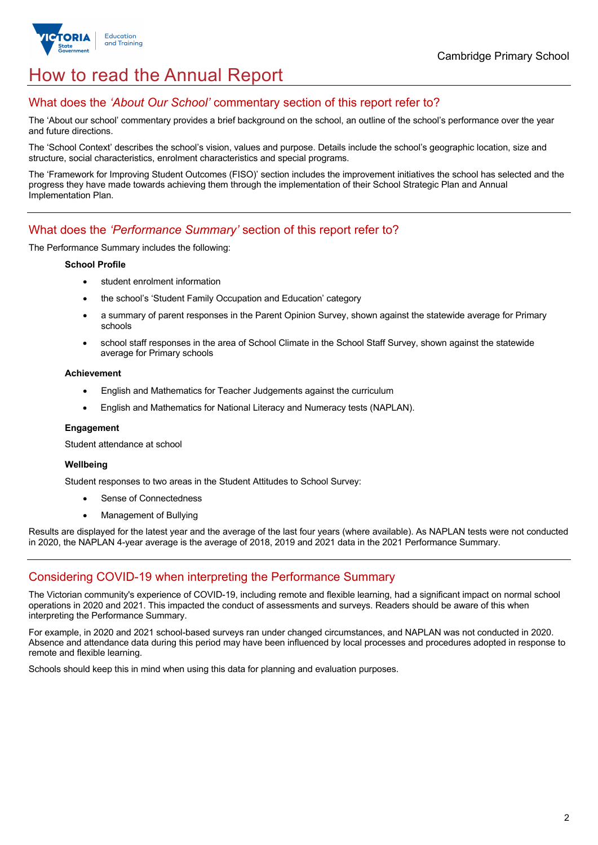

## How to read the Annual Report

### What does the *'About Our School'* commentary section of this report refer to?

The 'About our school' commentary provides a brief background on the school, an outline of the school's performance over the year and future directions.

The 'School Context' describes the school's vision, values and purpose. Details include the school's geographic location, size and structure, social characteristics, enrolment characteristics and special programs.

The 'Framework for Improving Student Outcomes (FISO)' section includes the improvement initiatives the school has selected and the progress they have made towards achieving them through the implementation of their School Strategic Plan and Annual Implementation Plan.

### What does the *'Performance Summary'* section of this report refer to?

The Performance Summary includes the following:

#### **School Profile**

- student enrolment information
- the school's 'Student Family Occupation and Education' category
- a summary of parent responses in the Parent Opinion Survey, shown against the statewide average for Primary schools
- school staff responses in the area of School Climate in the School Staff Survey, shown against the statewide average for Primary schools

#### **Achievement**

- English and Mathematics for Teacher Judgements against the curriculum
- English and Mathematics for National Literacy and Numeracy tests (NAPLAN).

#### **Engagement**

Student attendance at school

#### **Wellbeing**

Student responses to two areas in the Student Attitudes to School Survey:

- Sense of Connectedness
- Management of Bullying

Results are displayed for the latest year and the average of the last four years (where available). As NAPLAN tests were not conducted in 2020, the NAPLAN 4-year average is the average of 2018, 2019 and 2021 data in the 2021 Performance Summary.

### Considering COVID-19 when interpreting the Performance Summary

The Victorian community's experience of COVID-19, including remote and flexible learning, had a significant impact on normal school operations in 2020 and 2021. This impacted the conduct of assessments and surveys. Readers should be aware of this when interpreting the Performance Summary.

For example, in 2020 and 2021 school-based surveys ran under changed circumstances, and NAPLAN was not conducted in 2020. Absence and attendance data during this period may have been influenced by local processes and procedures adopted in response to remote and flexible learning.

Schools should keep this in mind when using this data for planning and evaluation purposes.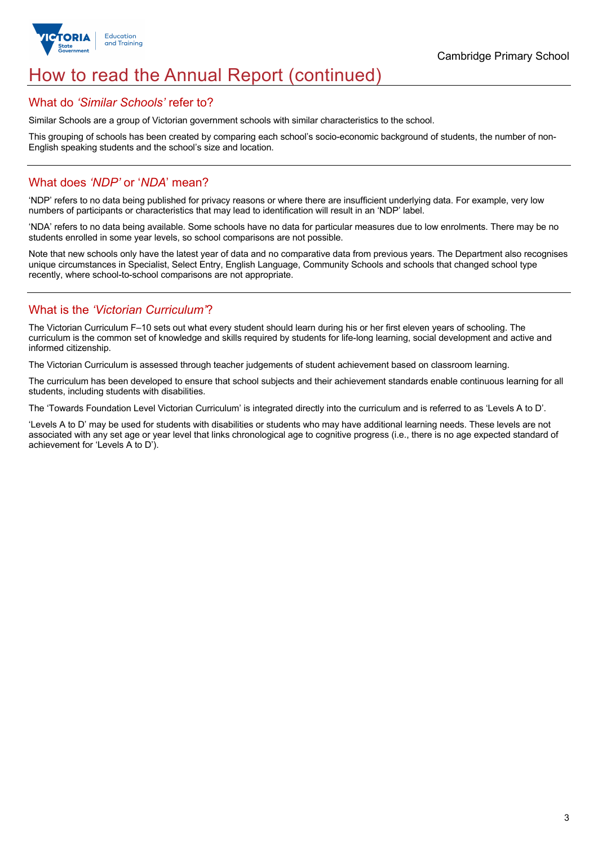

## How to read the Annual Report (continued)

#### What do *'Similar Schools'* refer to?

Similar Schools are a group of Victorian government schools with similar characteristics to the school.

This grouping of schools has been created by comparing each school's socio-economic background of students, the number of non-English speaking students and the school's size and location.

### What does *'NDP'* or '*NDA*' mean?

'NDP' refers to no data being published for privacy reasons or where there are insufficient underlying data. For example, very low numbers of participants or characteristics that may lead to identification will result in an 'NDP' label.

'NDA' refers to no data being available. Some schools have no data for particular measures due to low enrolments. There may be no students enrolled in some year levels, so school comparisons are not possible.

Note that new schools only have the latest year of data and no comparative data from previous years. The Department also recognises unique circumstances in Specialist, Select Entry, English Language, Community Schools and schools that changed school type recently, where school-to-school comparisons are not appropriate.

### What is the *'Victorian Curriculum'*?

The Victorian Curriculum F–10 sets out what every student should learn during his or her first eleven years of schooling. The curriculum is the common set of knowledge and skills required by students for life-long learning, social development and active and informed citizenship.

The Victorian Curriculum is assessed through teacher judgements of student achievement based on classroom learning.

The curriculum has been developed to ensure that school subjects and their achievement standards enable continuous learning for all students, including students with disabilities.

The 'Towards Foundation Level Victorian Curriculum' is integrated directly into the curriculum and is referred to as 'Levels A to D'.

'Levels A to D' may be used for students with disabilities or students who may have additional learning needs. These levels are not associated with any set age or year level that links chronological age to cognitive progress (i.e., there is no age expected standard of achievement for 'Levels A to D').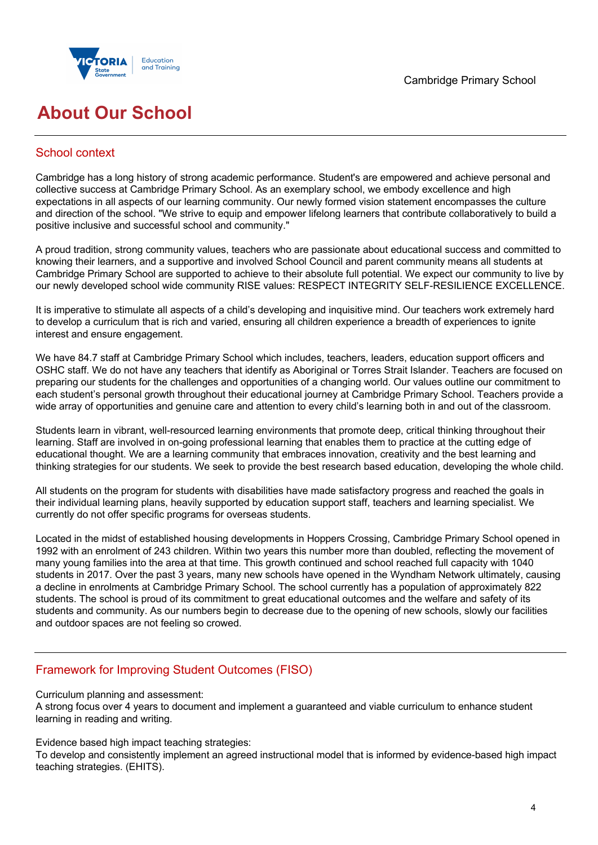

## **About Our School**

### School context

Cambridge has a long history of strong academic performance. Student's are empowered and achieve personal and collective success at Cambridge Primary School. As an exemplary school, we embody excellence and high expectations in all aspects of our learning community. Our newly formed vision statement encompasses the culture and direction of the school. "We strive to equip and empower lifelong learners that contribute collaboratively to build a positive inclusive and successful school and community."

A proud tradition, strong community values, teachers who are passionate about educational success and committed to knowing their learners, and a supportive and involved School Council and parent community means all students at Cambridge Primary School are supported to achieve to their absolute full potential. We expect our community to live by our newly developed school wide community RISE values: RESPECT INTEGRITY SELF-RESILIENCE EXCELLENCE.

It is imperative to stimulate all aspects of a child's developing and inquisitive mind. Our teachers work extremely hard to develop a curriculum that is rich and varied, ensuring all children experience a breadth of experiences to ignite interest and ensure engagement.

We have 84.7 staff at Cambridge Primary School which includes, teachers, leaders, education support officers and OSHC staff. We do not have any teachers that identify as Aboriginal or Torres Strait Islander. Teachers are focused on preparing our students for the challenges and opportunities of a changing world. Our values outline our commitment to each student's personal growth throughout their educational journey at Cambridge Primary School. Teachers provide a wide array of opportunities and genuine care and attention to every child's learning both in and out of the classroom.

Students learn in vibrant, well-resourced learning environments that promote deep, critical thinking throughout their learning. Staff are involved in on-going professional learning that enables them to practice at the cutting edge of educational thought. We are a learning community that embraces innovation, creativity and the best learning and thinking strategies for our students. We seek to provide the best research based education, developing the whole child.

All students on the program for students with disabilities have made satisfactory progress and reached the goals in their individual learning plans, heavily supported by education support staff, teachers and learning specialist. We currently do not offer specific programs for overseas students.

Located in the midst of established housing developments in Hoppers Crossing, Cambridge Primary School opened in 1992 with an enrolment of 243 children. Within two years this number more than doubled, reflecting the movement of many young families into the area at that time. This growth continued and school reached full capacity with 1040 students in 2017. Over the past 3 years, many new schools have opened in the Wyndham Network ultimately, causing a decline in enrolments at Cambridge Primary School. The school currently has a population of approximately 822 students. The school is proud of its commitment to great educational outcomes and the welfare and safety of its students and community. As our numbers begin to decrease due to the opening of new schools, slowly our facilities and outdoor spaces are not feeling so crowed.

### Framework for Improving Student Outcomes (FISO)

Curriculum planning and assessment:

A strong focus over 4 years to document and implement a guaranteed and viable curriculum to enhance student learning in reading and writing.

Evidence based high impact teaching strategies:

To develop and consistently implement an agreed instructional model that is informed by evidence-based high impact teaching strategies. (EHITS).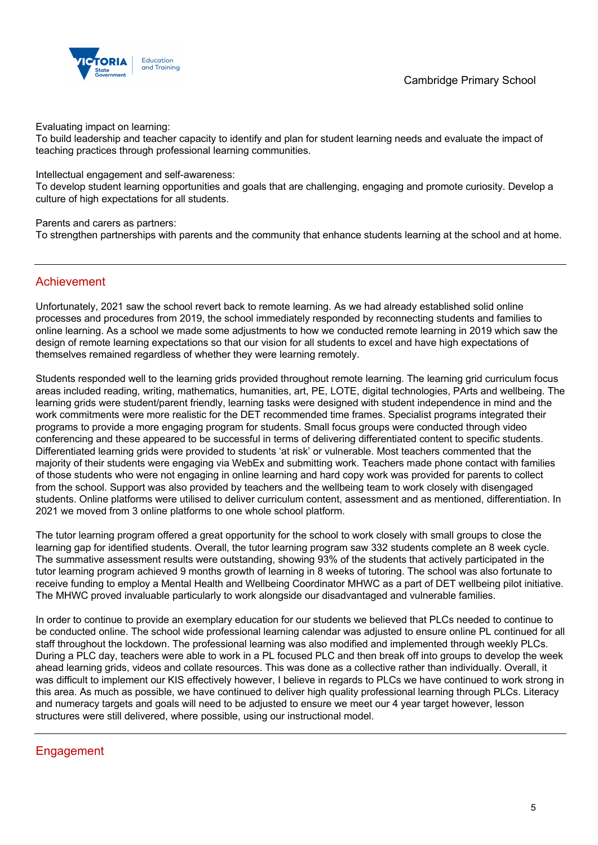

Evaluating impact on learning:

To build leadership and teacher capacity to identify and plan for student learning needs and evaluate the impact of teaching practices through professional learning communities.

Intellectual engagement and self-awareness:

To develop student learning opportunities and goals that are challenging, engaging and promote curiosity. Develop a culture of high expectations for all students.

Parents and carers as partners:

To strengthen partnerships with parents and the community that enhance students learning at the school and at home.

#### Achievement

Unfortunately, 2021 saw the school revert back to remote learning. As we had already established solid online processes and procedures from 2019, the school immediately responded by reconnecting students and families to online learning. As a school we made some adjustments to how we conducted remote learning in 2019 which saw the design of remote learning expectations so that our vision for all students to excel and have high expectations of themselves remained regardless of whether they were learning remotely.

Students responded well to the learning grids provided throughout remote learning. The learning grid curriculum focus areas included reading, writing, mathematics, humanities, art, PE, LOTE, digital technologies, PArts and wellbeing. The learning grids were student/parent friendly, learning tasks were designed with student independence in mind and the work commitments were more realistic for the DET recommended time frames. Specialist programs integrated their programs to provide a more engaging program for students. Small focus groups were conducted through video conferencing and these appeared to be successful in terms of delivering differentiated content to specific students. Differentiated learning grids were provided to students 'at risk' or vulnerable. Most teachers commented that the majority of their students were engaging via WebEx and submitting work. Teachers made phone contact with families of those students who were not engaging in online learning and hard copy work was provided for parents to collect from the school. Support was also provided by teachers and the wellbeing team to work closely with disengaged students. Online platforms were utilised to deliver curriculum content, assessment and as mentioned, differentiation. In 2021 we moved from 3 online platforms to one whole school platform.

The tutor learning program offered a great opportunity for the school to work closely with small groups to close the learning gap for identified students. Overall, the tutor learning program saw 332 students complete an 8 week cycle. The summative assessment results were outstanding, showing 93% of the students that actively participated in the tutor learning program achieved 9 months growth of learning in 8 weeks of tutoring. The school was also fortunate to receive funding to employ a Mental Health and Wellbeing Coordinator MHWC as a part of DET wellbeing pilot initiative. The MHWC proved invaluable particularly to work alongside our disadvantaged and vulnerable families.

In order to continue to provide an exemplary education for our students we believed that PLCs needed to continue to be conducted online. The school wide professional learning calendar was adjusted to ensure online PL continued for all staff throughout the lockdown. The professional learning was also modified and implemented through weekly PLCs. During a PLC day, teachers were able to work in a PL focused PLC and then break off into groups to develop the week ahead learning grids, videos and collate resources. This was done as a collective rather than individually. Overall, it was difficult to implement our KIS effectively however, I believe in regards to PLCs we have continued to work strong in this area. As much as possible, we have continued to deliver high quality professional learning through PLCs. Literacy and numeracy targets and goals will need to be adjusted to ensure we meet our 4 year target however, lesson structures were still delivered, where possible, using our instructional model.

### **Engagement**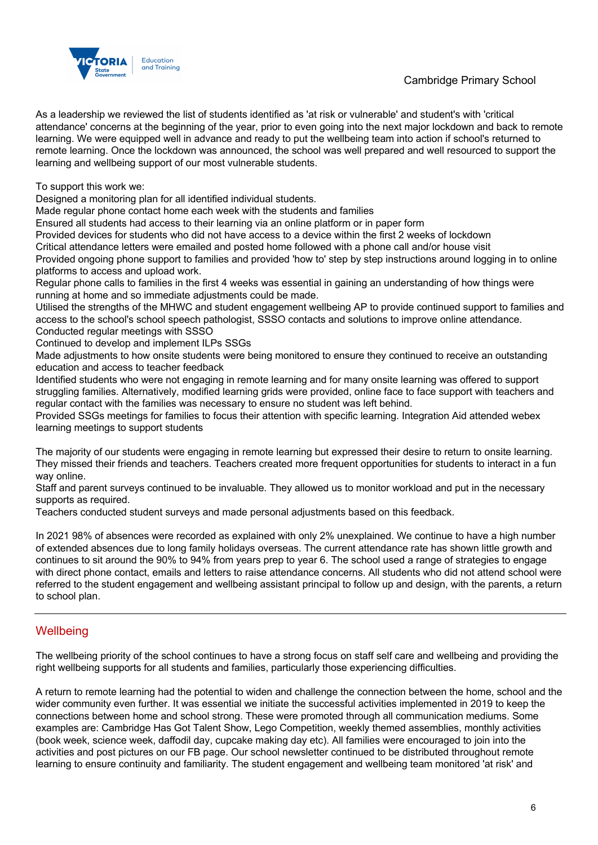### Cambridge Primary School



As a leadership we reviewed the list of students identified as 'at risk or vulnerable' and student's with 'critical attendance' concerns at the beginning of the year, prior to even going into the next major lockdown and back to remote learning. We were equipped well in advance and ready to put the wellbeing team into action if school's returned to remote learning. Once the lockdown was announced, the school was well prepared and well resourced to support the learning and wellbeing support of our most vulnerable students.

To support this work we:

Designed a monitoring plan for all identified individual students.

Made regular phone contact home each week with the students and families

Ensured all students had access to their learning via an online platform or in paper form

Provided devices for students who did not have access to a device within the first 2 weeks of lockdown

Critical attendance letters were emailed and posted home followed with a phone call and/or house visit

Provided ongoing phone support to families and provided 'how to' step by step instructions around logging in to online platforms to access and upload work.

Regular phone calls to families in the first 4 weeks was essential in gaining an understanding of how things were running at home and so immediate adjustments could be made.

Utilised the strengths of the MHWC and student engagement wellbeing AP to provide continued support to families and access to the school's school speech pathologist, SSSO contacts and solutions to improve online attendance. Conducted regular meetings with SSSO

Continued to develop and implement ILPs SSGs

Made adiustments to how onsite students were being monitored to ensure they continued to receive an outstanding education and access to teacher feedback

Identified students who were not engaging in remote learning and for many onsite learning was offered to support struggling families. Alternatively, modified learning grids were provided, online face to face support with teachers and regular contact with the families was necessary to ensure no student was left behind.

Provided SSGs meetings for families to focus their attention with specific learning. Integration Aid attended webex learning meetings to support students

The majority of our students were engaging in remote learning but expressed their desire to return to onsite learning. They missed their friends and teachers. Teachers created more frequent opportunities for students to interact in a fun way online.

Staff and parent surveys continued to be invaluable. They allowed us to monitor workload and put in the necessary supports as required.

Teachers conducted student surveys and made personal adjustments based on this feedback.

In 2021 98% of absences were recorded as explained with only 2% unexplained. We continue to have a high number of extended absences due to long family holidays overseas. The current attendance rate has shown little growth and continues to sit around the 90% to 94% from years prep to year 6. The school used a range of strategies to engage with direct phone contact, emails and letters to raise attendance concerns. All students who did not attend school were referred to the student engagement and wellbeing assistant principal to follow up and design, with the parents, a return to school plan.

### **Wellbeing**

The wellbeing priority of the school continues to have a strong focus on staff self care and wellbeing and providing the right wellbeing supports for all students and families, particularly those experiencing difficulties.

A return to remote learning had the potential to widen and challenge the connection between the home, school and the wider community even further. It was essential we initiate the successful activities implemented in 2019 to keep the connections between home and school strong. These were promoted through all communication mediums. Some examples are: Cambridge Has Got Talent Show, Lego Competition, weekly themed assemblies, monthly activities (book week, science week, daffodil day, cupcake making day etc). All families were encouraged to join into the activities and post pictures on our FB page. Our school newsletter continued to be distributed throughout remote learning to ensure continuity and familiarity. The student engagement and wellbeing team monitored 'at risk' and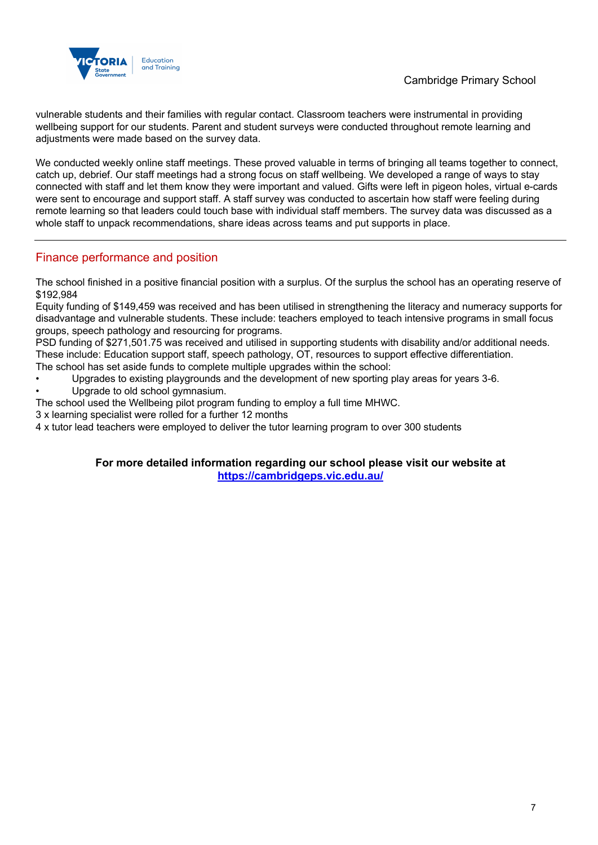

vulnerable students and their families with regular contact. Classroom teachers were instrumental in providing wellbeing support for our students. Parent and student surveys were conducted throughout remote learning and adjustments were made based on the survey data.

We conducted weekly online staff meetings. These proved valuable in terms of bringing all teams together to connect, catch up, debrief. Our staff meetings had a strong focus on staff wellbeing. We developed a range of ways to stay connected with staff and let them know they were important and valued. Gifts were left in pigeon holes, virtual e-cards were sent to encourage and support staff. A staff survey was conducted to ascertain how staff were feeling during remote learning so that leaders could touch base with individual staff members. The survey data was discussed as a whole staff to unpack recommendations, share ideas across teams and put supports in place.

### Finance performance and position

The school finished in a positive financial position with a surplus. Of the surplus the school has an operating reserve of \$192,984

Equity funding of \$149,459 was received and has been utilised in strengthening the literacy and numeracy supports for disadvantage and vulnerable students. These include: teachers employed to teach intensive programs in small focus groups, speech pathology and resourcing for programs.

PSD funding of \$271,501.75 was received and utilised in supporting students with disability and/or additional needs. These include: Education support staff, speech pathology, OT, resources to support effective differentiation. The school has set aside funds to complete multiple upgrades within the school:

- Upgrades to existing playgrounds and the development of new sporting play areas for years 3-6.
- Upgrade to old school gymnasium.
- The school used the Wellbeing pilot program funding to employ a full time MHWC.
- 3 x learning specialist were rolled for a further 12 months

4 x tutor lead teachers were employed to deliver the tutor learning program to over 300 students

#### **For more detailed information regarding our school please visit our website at https://cambridgeps.vic.edu.au/**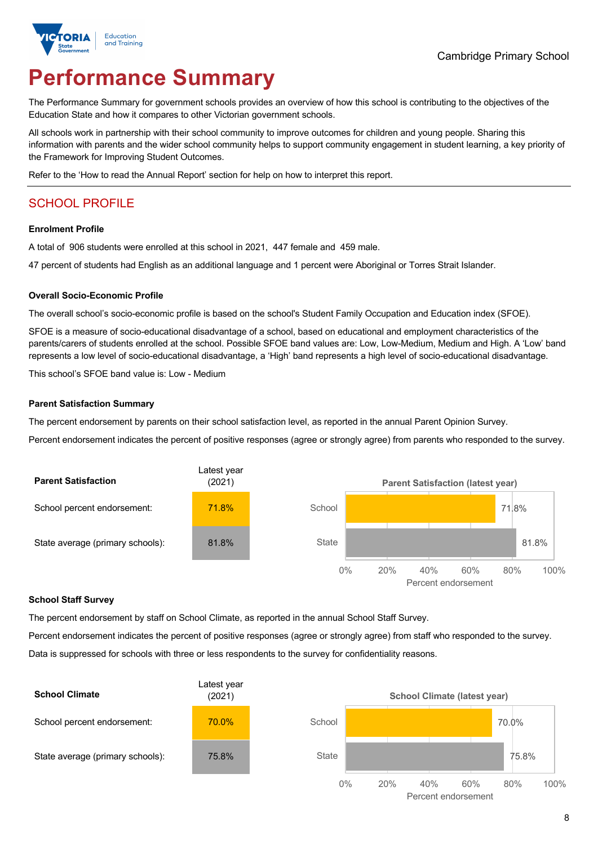

# **Performance Summary**

The Performance Summary for government schools provides an overview of how this school is contributing to the objectives of the Education State and how it compares to other Victorian government schools.

All schools work in partnership with their school community to improve outcomes for children and young people. Sharing this information with parents and the wider school community helps to support community engagement in student learning, a key priority of the Framework for Improving Student Outcomes.

Refer to the 'How to read the Annual Report' section for help on how to interpret this report.

### SCHOOL PROFILE

#### **Enrolment Profile**

A total of 906 students were enrolled at this school in 2021, 447 female and 459 male.

47 percent of students had English as an additional language and 1 percent were Aboriginal or Torres Strait Islander.

#### **Overall Socio-Economic Profile**

The overall school's socio-economic profile is based on the school's Student Family Occupation and Education index (SFOE).

SFOE is a measure of socio-educational disadvantage of a school, based on educational and employment characteristics of the parents/carers of students enrolled at the school. Possible SFOE band values are: Low, Low-Medium, Medium and High. A 'Low' band represents a low level of socio-educational disadvantage, a 'High' band represents a high level of socio-educational disadvantage.

This school's SFOE band value is: Low - Medium

#### **Parent Satisfaction Summary**

The percent endorsement by parents on their school satisfaction level, as reported in the annual Parent Opinion Survey.

Percent endorsement indicates the percent of positive responses (agree or strongly agree) from parents who responded to the survey.



#### **School Staff Survey**

The percent endorsement by staff on School Climate, as reported in the annual School Staff Survey.

Percent endorsement indicates the percent of positive responses (agree or strongly agree) from staff who responded to the survey. Data is suppressed for schools with three or less respondents to the survey for confidentiality reasons.

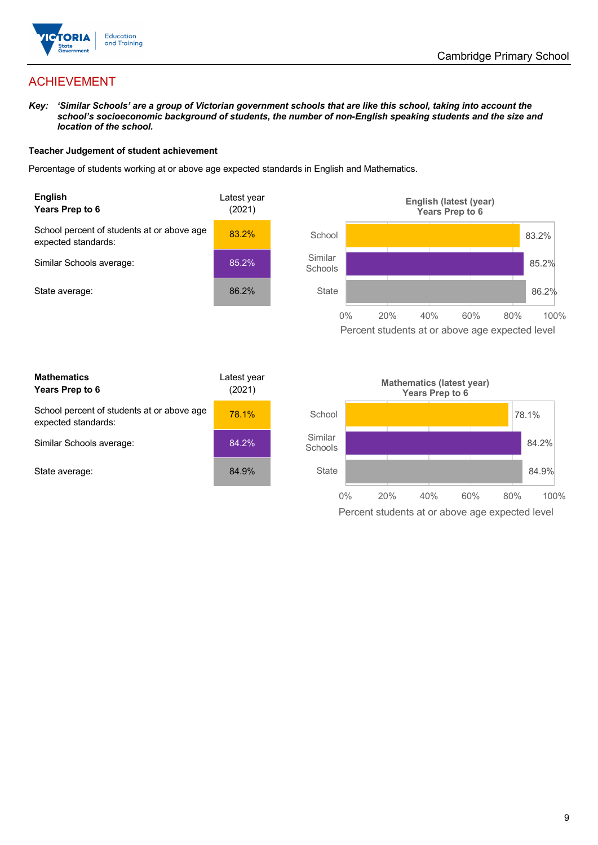

### ACHIEVEMENT

*Key: 'Similar Schools' are a group of Victorian government schools that are like this school, taking into account the school's socioeconomic background of students, the number of non-English speaking students and the size and location of the school.*

#### **Teacher Judgement of student achievement**

Percentage of students working at or above age expected standards in English and Mathematics.



Percent students at or above age expected level

| <b>Mathematics</b><br>Years Prep to 6                             | Latest year<br>(2021) |  |  |
|-------------------------------------------------------------------|-----------------------|--|--|
| School percent of students at or above age<br>expected standards: | 78.1%                 |  |  |
| Similar Schools average:                                          | 84.2%                 |  |  |
| State average:                                                    | 84.9%                 |  |  |

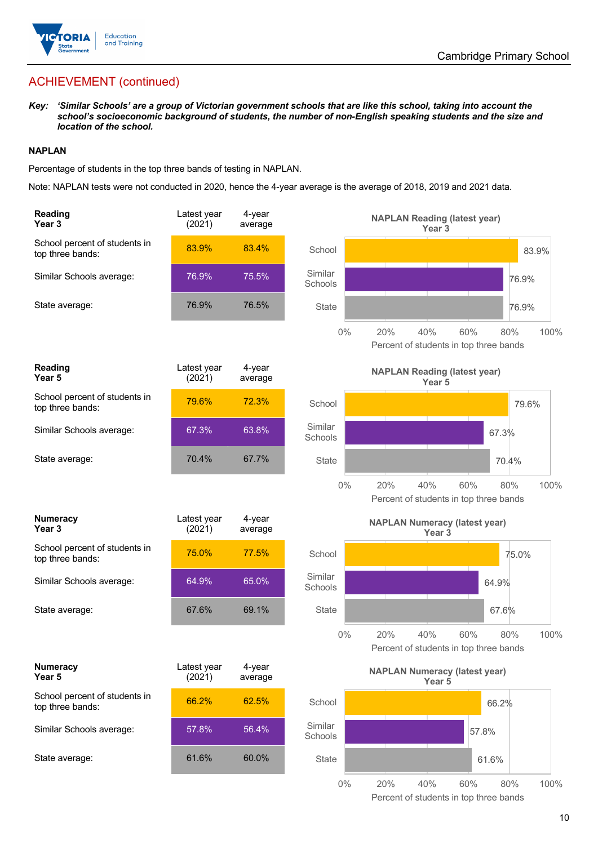

### ACHIEVEMENT (continued)

*Key: 'Similar Schools' are a group of Victorian government schools that are like this school, taking into account the school's socioeconomic background of students, the number of non-English speaking students and the size and location of the school.*

#### **NAPLAN**

Percentage of students in the top three bands of testing in NAPLAN.

Note: NAPLAN tests were not conducted in 2020, hence the 4-year average is the average of 2018, 2019 and 2021 data.

| <b>Reading</b><br>Year <sub>3</sub>               | Latest year<br>(2021) | 4-year<br>average |                    | <b>NAPLAN Reading (latest year)</b><br>Year <sub>3</sub>                   |
|---------------------------------------------------|-----------------------|-------------------|--------------------|----------------------------------------------------------------------------|
| School percent of students in<br>top three bands: | 83.9%                 | 83.4%             | School             | 83.9%                                                                      |
| Similar Schools average:                          | 76.9%                 | 75.5%             | Similar<br>Schools | 76.9%                                                                      |
| State average:                                    | 76.9%                 | 76.5%             | <b>State</b>       | 76.9%                                                                      |
|                                                   |                       |                   | $0\%$              | 20%<br>40%<br>60%<br>80%<br>100%<br>Percent of students in top three bands |
| <b>Reading</b><br>Year 5                          | Latest year<br>(2021) | 4-year<br>average |                    | <b>NAPLAN Reading (latest year)</b><br>Year 5                              |
| School percent of students in<br>top three bands: | 79.6%                 | 72.3%             | School             | 79.6%                                                                      |
| Similar Schools average:                          | 67.3%                 | 63.8%             | Similar<br>Schools | 67.3%                                                                      |
| State average:                                    | 70.4%                 | 67.7%             | <b>State</b>       | 70.4%                                                                      |
|                                                   |                       |                   | $0\%$              | 20%<br>40%<br>60%<br>80%<br>100%<br>Percent of students in top three bands |
| <b>Numeracy</b><br>Year <sub>3</sub>              | Latest year<br>(2021) | 4-year<br>average |                    | <b>NAPLAN Numeracy (latest year)</b><br>Year <sub>3</sub>                  |
| School percent of students in<br>top three bands: | 75.0%                 | 77.5%             | School             | 75.0%                                                                      |
| Similar Schools average:                          | 64.9%                 | 65.0%             | Similar<br>Schools | 64.9%                                                                      |
| State average:                                    | 67.6%                 | 69.1%             | State              | 67.6%                                                                      |
|                                                   |                       |                   | $0\%$              | 20%<br>40%<br>60%<br>80%<br>100%<br>Percent of students in top three bands |
| <b>Numeracy</b><br>Year 5                         | Latest year<br>(2021) | 4-year<br>average |                    | <b>NAPLAN Numeracy (latest year)</b><br>Year 5                             |
| School percent of students in<br>top three bands: | 66.2%                 | 62.5%             | School             | 66.2%                                                                      |
| Similar Schools average:                          | 57.8%                 | 56.4%             | Similar<br>Schools | 57.8%                                                                      |
| State average:                                    | 61.6%                 | 60.0%             | <b>State</b>       | 61.6%                                                                      |
|                                                   |                       |                   | $0\%$              | 20%<br>80%<br>100%<br>40%<br>60%                                           |

Percent of students in top three bands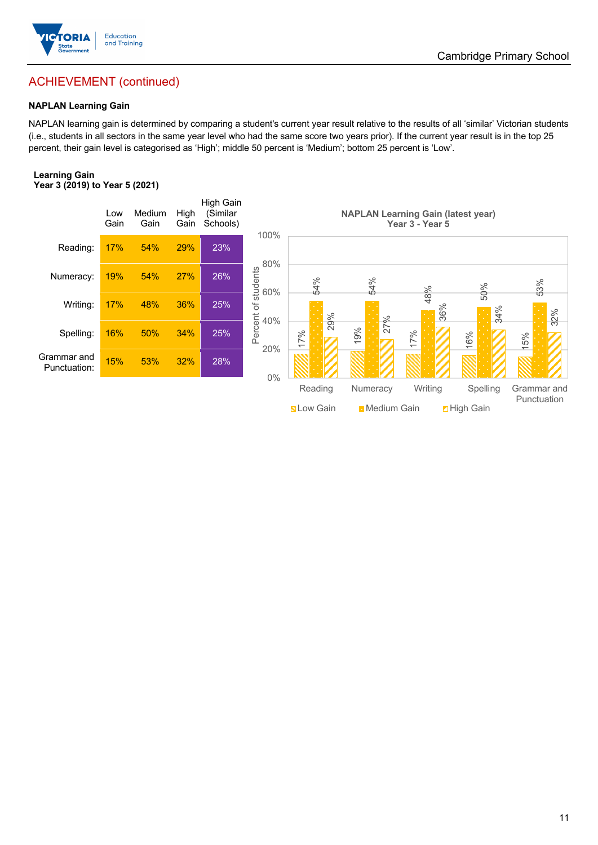

### Cambridge Primary School

### ACHIEVEMENT (continued)

#### **NAPLAN Learning Gain**

NAPLAN learning gain is determined by comparing a student's current year result relative to the results of all 'similar' Victorian students (i.e., students in all sectors in the same year level who had the same score two years prior). If the current year result is in the top 25 percent, their gain level is categorised as 'High'; middle 50 percent is 'Medium'; bottom 25 percent is 'Low'.

#### **Learning Gain Year 3 (2019) to Year 5 (2021)**

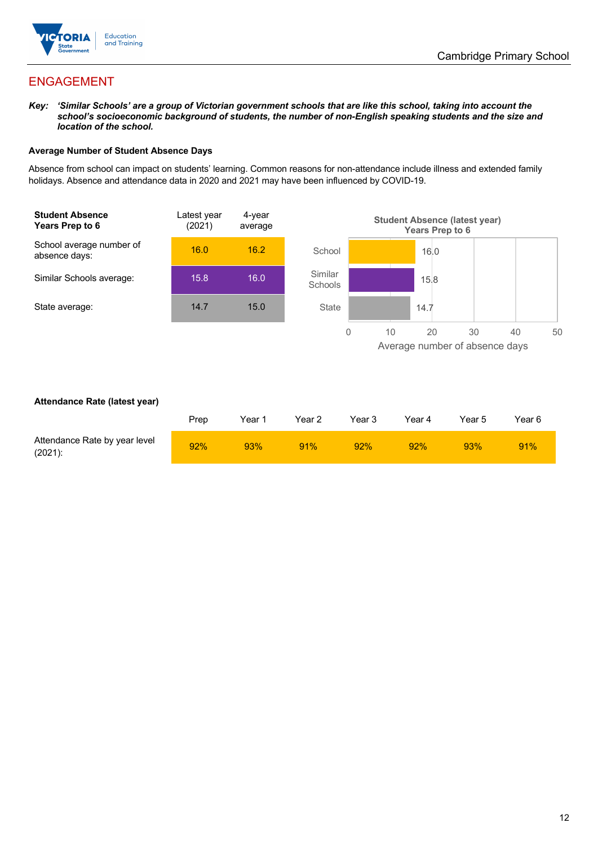

### ENGAGEMENT

*Key: 'Similar Schools' are a group of Victorian government schools that are like this school, taking into account the school's socioeconomic background of students, the number of non-English speaking students and the size and location of the school.*

#### **Average Number of Student Absence Days**

Absence from school can impact on students' learning. Common reasons for non-attendance include illness and extended family holidays. Absence and attendance data in 2020 and 2021 may have been influenced by COVID-19.



#### **Attendance Rate (latest year)**

|                                             | Prep | Year 1 | Year 2 | Year 3 | Year 4 | Year 5 | Year 6 |
|---------------------------------------------|------|--------|--------|--------|--------|--------|--------|
| Attendance Rate by year level<br>$(2021)$ : | 92%  | 93%    | 91%    | 92%    | 92%    | 93%    | 91%    |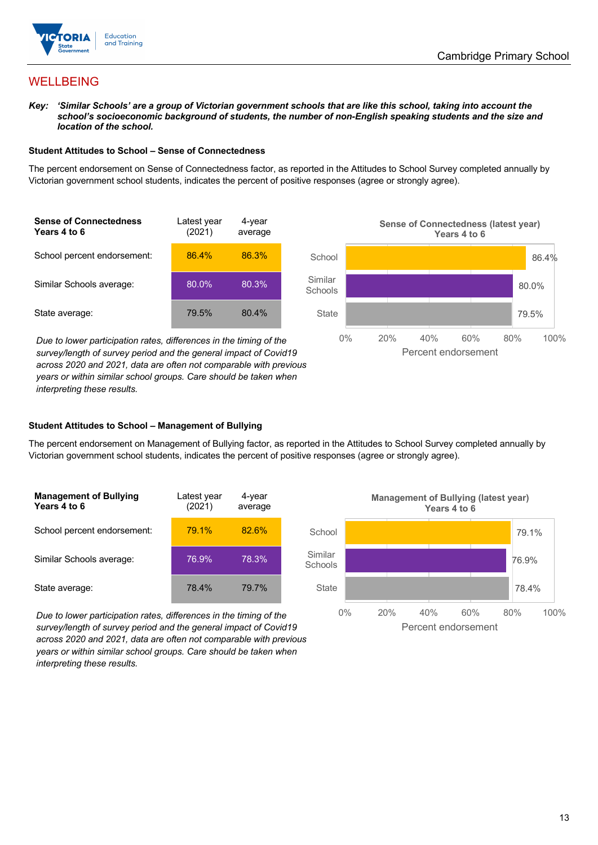

### WELLBEING

*Key: 'Similar Schools' are a group of Victorian government schools that are like this school, taking into account the*  school's socioeconomic background of students, the number of non-English speaking students and the size and *location of the school.*

#### **Student Attitudes to School – Sense of Connectedness**

The percent endorsement on Sense of Connectedness factor, as reported in the Attitudes to School Survey completed annually by Victorian government school students, indicates the percent of positive responses (agree or strongly agree).



*Due to lower participation rates, differences in the timing of the survey/length of survey period and the general impact of Covid19 across 2020 and 2021, data are often not comparable with previous years or within similar school groups. Care should be taken when interpreting these results.*



#### **Student Attitudes to School – Management of Bullying**

The percent endorsement on Management of Bullying factor, as reported in the Attitudes to School Survey completed annually by Victorian government school students, indicates the percent of positive responses (agree or strongly agree).

| <b>Management of Bullying</b><br>Years 4 to 6 | Latest year<br>(2021) | 4-year<br>average |  |
|-----------------------------------------------|-----------------------|-------------------|--|
| School percent endorsement:                   | 79.1%                 | 82.6%             |  |
| Similar Schools average:                      | 76.9%                 | 78.3%             |  |
| State average:                                | 78.4%                 | 79.7%             |  |

*Due to lower participation rates, differences in the timing of the survey/length of survey period and the general impact of Covid19 across 2020 and 2021, data are often not comparable with previous years or within similar school groups. Care should be taken when interpreting these results.*

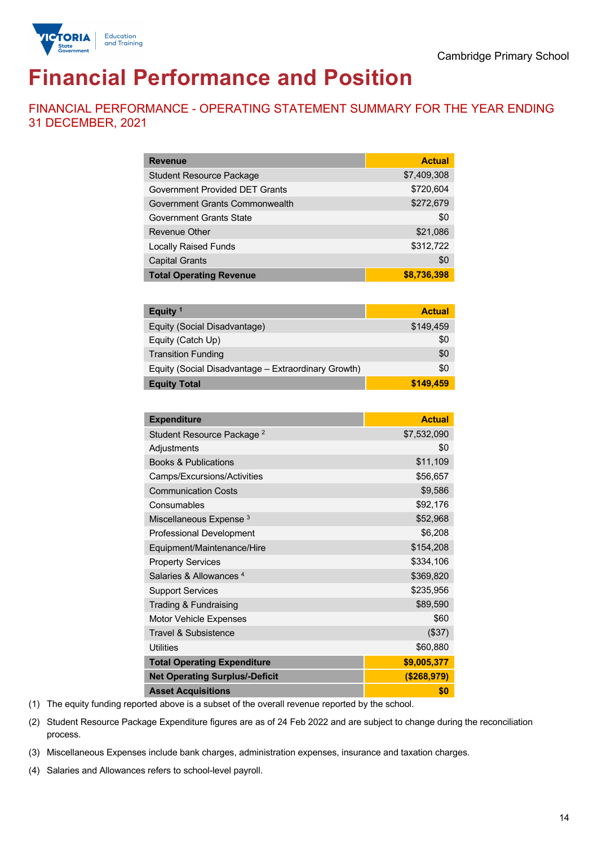

# **Financial Performance and Position**

FINANCIAL PERFORMANCE - OPERATING STATEMENT SUMMARY FOR THE YEAR ENDING 31 DECEMBER, 2021

| <b>Revenue</b>                  | <b>Actual</b> |
|---------------------------------|---------------|
| <b>Student Resource Package</b> | \$7,409,308   |
| Government Provided DET Grants  | \$720,604     |
| Government Grants Commonwealth  | \$272,679     |
| Government Grants State         | \$0           |
| <b>Revenue Other</b>            | \$21,086      |
| <b>Locally Raised Funds</b>     | \$312,722     |
| <b>Capital Grants</b>           | \$0           |
| <b>Total Operating Revenue</b>  | \$8,736,398   |

| Equity $1$                                          | <b>Actual</b> |
|-----------------------------------------------------|---------------|
| Equity (Social Disadvantage)                        | \$149,459     |
| Equity (Catch Up)                                   | \$0           |
| <b>Transition Funding</b>                           | \$0           |
| Equity (Social Disadvantage – Extraordinary Growth) | \$0           |
| <b>Equity Total</b>                                 | \$149,459     |

| <b>Expenditure</b>                    | <b>Actual</b> |
|---------------------------------------|---------------|
| Student Resource Package <sup>2</sup> | \$7,532,090   |
| Adjustments                           | \$0           |
| <b>Books &amp; Publications</b>       | \$11,109      |
| Camps/Excursions/Activities           | \$56,657      |
| <b>Communication Costs</b>            | \$9,586       |
| Consumables                           | \$92,176      |
| Miscellaneous Expense <sup>3</sup>    | \$52,968      |
| <b>Professional Development</b>       | \$6,208       |
| Equipment/Maintenance/Hire            | \$154,208     |
| <b>Property Services</b>              | \$334,106     |
| Salaries & Allowances <sup>4</sup>    | \$369,820     |
| <b>Support Services</b>               | \$235,956     |
| Trading & Fundraising                 | \$89,590      |
| Motor Vehicle Expenses                | \$60          |
| <b>Travel &amp; Subsistence</b>       | (\$37)        |
| <b>Utilities</b>                      | \$60,880      |
| <b>Total Operating Expenditure</b>    | \$9,005,377   |
| <b>Net Operating Surplus/-Deficit</b> | ( \$268, 979) |
| <b>Asset Acquisitions</b>             | \$0           |

(1) The equity funding reported above is a subset of the overall revenue reported by the school.

(2) Student Resource Package Expenditure figures are as of 24 Feb 2022 and are subject to change during the reconciliation process.

(3) Miscellaneous Expenses include bank charges, administration expenses, insurance and taxation charges.

(4) Salaries and Allowances refers to school-level payroll.